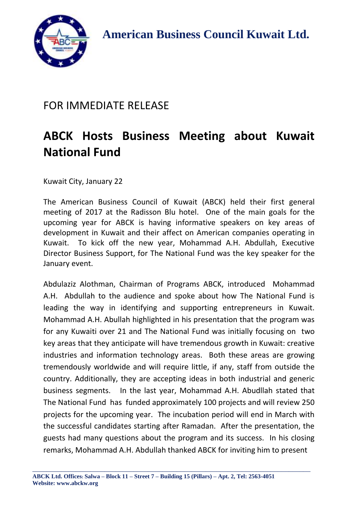

 **A American Business Council Kuwait Ltd.**

## FOR IMMEDIATE RELEASE

## **ABCK Hosts Business Meeting about Kuwait National Fund**

Kuwait City, January 22

The American Business Council of Kuwait (ABCK) held their first general meeting of 2017 at the Radisson Blu hotel. One of the main goals for the upcoming year for ABCK is having informative speakers on key areas of development in Kuwait and their affect on American companies operating in Kuwait. To kick off the new year, Mohammad A.H. Abdullah, Executive Director Business Support, for The National Fund was the key speaker for the January event.

Abdulaziz Alothman, Chairman of Programs ABCK, introduced Mohammad A.H. Abdullah to the audience and spoke about how The National Fund is leading the way in identifying and supporting entrepreneurs in Kuwait. Mohammad A.H. Abullah highlighted in his presentation that the program was for any Kuwaiti over 21 and The National Fund was initially focusing on two key areas that they anticipate will have tremendous growth in Kuwait: creative industries and information technology areas. Both these areas are growing tremendously worldwide and will require little, if any, staff from outside the country. Additionally, they are accepting ideas in both industrial and generic business segments. In the last year, Mohammad A.H. Abudllah stated that The National Fund has funded approximately 100 projects and will review 250 projects for the upcoming year. The incubation period will end in March with the successful candidates starting after Ramadan. After the presentation, the guests had many questions about the program and its success. In his closing remarks, Mohammad A.H. Abdullah thanked ABCK for inviting him to present

\_\_\_\_\_\_\_\_\_\_\_\_\_\_\_\_\_\_\_\_\_\_\_\_\_\_\_\_\_\_\_\_\_\_\_\_\_\_\_\_\_\_\_\_\_\_\_\_\_\_\_\_\_\_\_\_\_\_\_\_\_\_\_\_\_\_\_\_\_\_\_\_\_\_\_\_\_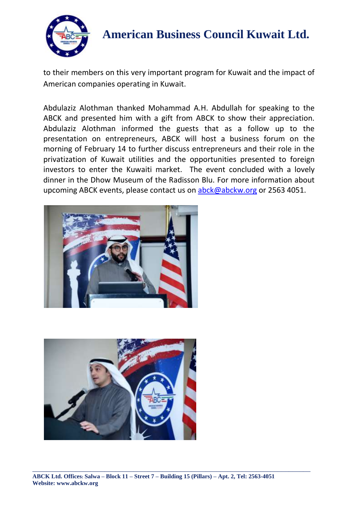

## **A American Business Council Kuwait Ltd.**

to their members on this very important program for Kuwait and the impact of American companies operating in Kuwait.

Abdulaziz Alothman thanked Mohammad A.H. Abdullah for speaking to the ABCK and presented him with a gift from ABCK to show their appreciation. Abdulaziz Alothman informed the guests that as a follow up to the presentation on entrepreneurs, ABCK will host a business forum on the morning of February 14 to further discuss entrepreneurs and their role in the privatization of Kuwait utilities and the opportunities presented to foreign investors to enter the Kuwaiti market. The event concluded with a lovely dinner in the Dhow Museum of the Radisson Blu. For more information about upcoming ABCK events, please contact us on [abck@abckw.org](mailto:abck@abckw.org) or 2563 4051.





\_\_\_\_\_\_\_\_\_\_\_\_\_\_\_\_\_\_\_\_\_\_\_\_\_\_\_\_\_\_\_\_\_\_\_\_\_\_\_\_\_\_\_\_\_\_\_\_\_\_\_\_\_\_\_\_\_\_\_\_\_\_\_\_\_\_\_\_\_\_\_\_\_\_\_\_\_